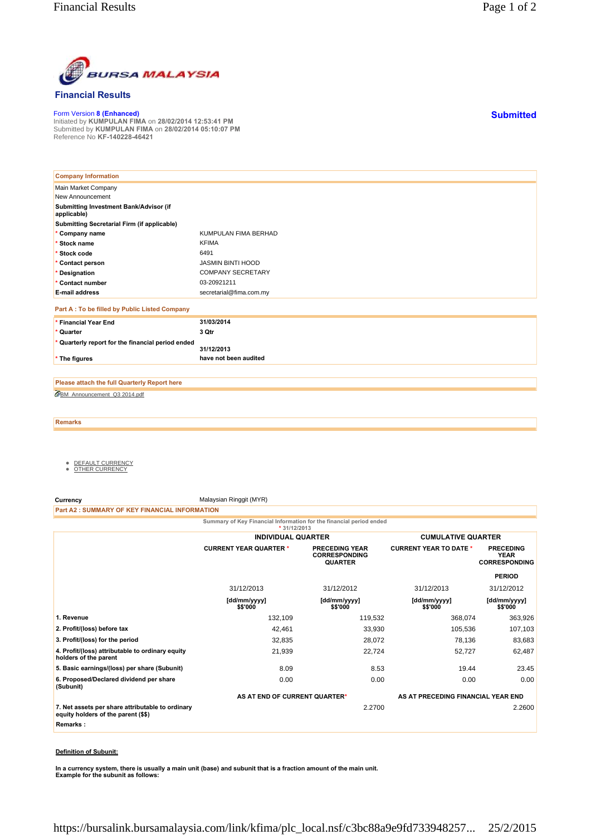

## **Financial Results**

Form Version **8 (Enhanced)** Initiated by **KUMPULAN FIMA** on **28/02/2014 12:53:41 PM** Submitted by **KUMPULAN FIMA** on **28/02/2014 05:10:07 PM** Reference No **KF-140228-46421**

| <b>Company Information</b>                            |                          |
|-------------------------------------------------------|--------------------------|
| Main Market Company                                   |                          |
| New Announcement                                      |                          |
| Submitting Investment Bank/Advisor (if<br>applicable) |                          |
| Submitting Secretarial Firm (if applicable)           |                          |
| * Company name                                        | KUMPULAN FIMA BERHAD     |
| Stock name                                            | <b>KFIMA</b>             |
| * Stock code                                          | 6491                     |
| * Contact person                                      | <b>JASMIN BINTI HOOD</b> |
| * Designation                                         | <b>COMPANY SECRETARY</b> |
| * Contact number                                      | 03-20921211              |
| <b>E-mail address</b>                                 | secretarial@fima.com.my  |
| Part A : To be filled by Public Listed Company        |                          |
| * Financial Year End                                  | 31/03/2014               |
| * Quarter                                             | 3 Qtr                    |
| Quarterly report for the financial period ended       | 31/12/2013               |
| * The figures                                         | have not been audited    |
|                                                       |                          |

BM\_Announcement\_Q3 2014.pdf **Please attach the full Quarterly Report here**

**Remarks**

- <u>DEFAULT CURRENCY</u><br>● <u>OTHER CURRENCY</u>
- 

**Currency** Malaysian Ringgit (MYR)

**Part A2 : SUMMARY OF KEY FINANCIAL INFORMATION**

**Summary of Key Financial Information for the financial period ended \* 31/12/2013**

|                                                                                                     | <b>INDIVIDUAL QUARTER</b>     |                                                                 | <b>CUMULATIVE QUARTER</b>          |                                                         |
|-----------------------------------------------------------------------------------------------------|-------------------------------|-----------------------------------------------------------------|------------------------------------|---------------------------------------------------------|
|                                                                                                     | <b>CURRENT YEAR QUARTER *</b> | <b>PRECEDING YEAR</b><br><b>CORRESPONDING</b><br><b>QUARTER</b> | <b>CURRENT YEAR TO DATE *</b>      | <b>PRECEDING</b><br><b>YEAR</b><br><b>CORRESPONDING</b> |
|                                                                                                     |                               |                                                                 |                                    | <b>PERIOD</b>                                           |
|                                                                                                     | 31/12/2013                    | 31/12/2012                                                      | 31/12/2013                         | 31/12/2012                                              |
|                                                                                                     | [dd/mm/yyyy]<br>\$\$'000      | [dd/mm/yyyy]<br>\$\$'000                                        | [dd/mm/yyyy]<br>\$\$'000           | [dd/mm/yyyy]<br>\$\$'000                                |
| 1. Revenue                                                                                          | 132,109                       | 119,532                                                         | 368,074                            | 363,926                                                 |
| 2. Profit/(loss) before tax                                                                         | 42,461                        | 33,930                                                          | 105,536                            | 107,103                                                 |
| 3. Profit/(loss) for the period                                                                     | 32,835                        | 28,072                                                          | 78,136                             | 83,683                                                  |
| 4. Profit/(loss) attributable to ordinary equity<br>holders of the parent                           | 21,939                        | 22,724                                                          | 52,727                             | 62,487                                                  |
| 5. Basic earnings/(loss) per share (Subunit)                                                        | 8.09                          | 8.53                                                            | 19.44                              | 23.45                                                   |
| 6. Proposed/Declared dividend per share<br>(Subunit)                                                | 0.00                          | 0.00                                                            | 0.00                               | 0.00                                                    |
|                                                                                                     | AS AT END OF CURRENT QUARTER* |                                                                 | AS AT PRECEDING FINANCIAL YEAR END |                                                         |
| 7. Net assets per share attributable to ordinary<br>equity holders of the parent (\$\$)<br>Remarks: |                               | 2.2700                                                          |                                    | 2.2600                                                  |

## **Definition of Subunit:**

**In a currency system, there is usually a main unit (base) and subunit that is a fraction amount of the main unit. Example for the subunit as follows:**

**Submitted**